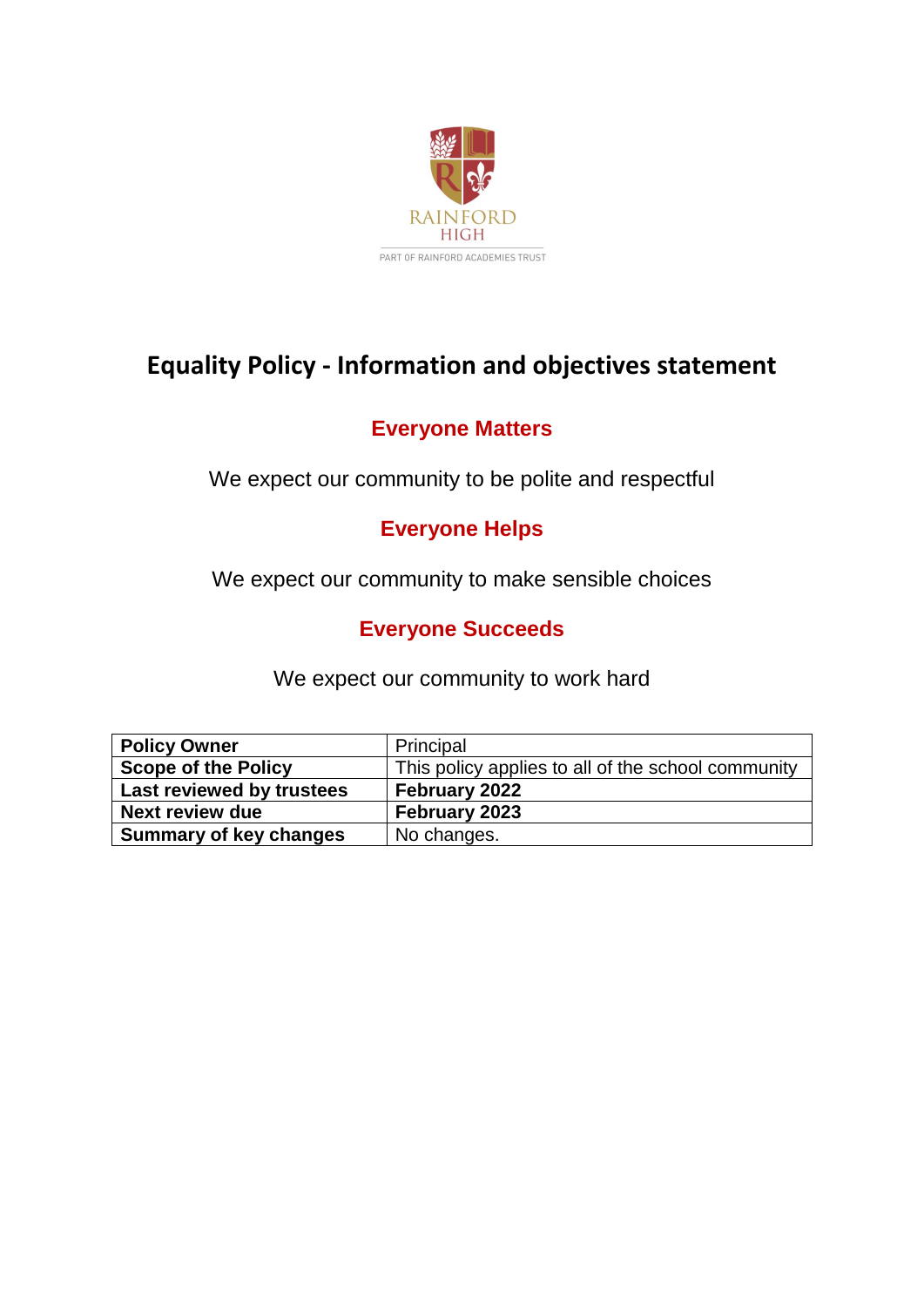

# **Equality Policy - Information and objectives statement**

# **Everyone Matters**

We expect our community to be polite and respectful

## **Everyone Helps**

We expect our community to make sensible choices

### **Everyone Succeeds**

We expect our community to work hard

| <b>Policy Owner</b>           | Principal                                          |
|-------------------------------|----------------------------------------------------|
| <b>Scope of the Policy</b>    | This policy applies to all of the school community |
| Last reviewed by trustees     | February 2022                                      |
| <b>Next review due</b>        | February 2023                                      |
| <b>Summary of key changes</b> | No changes.                                        |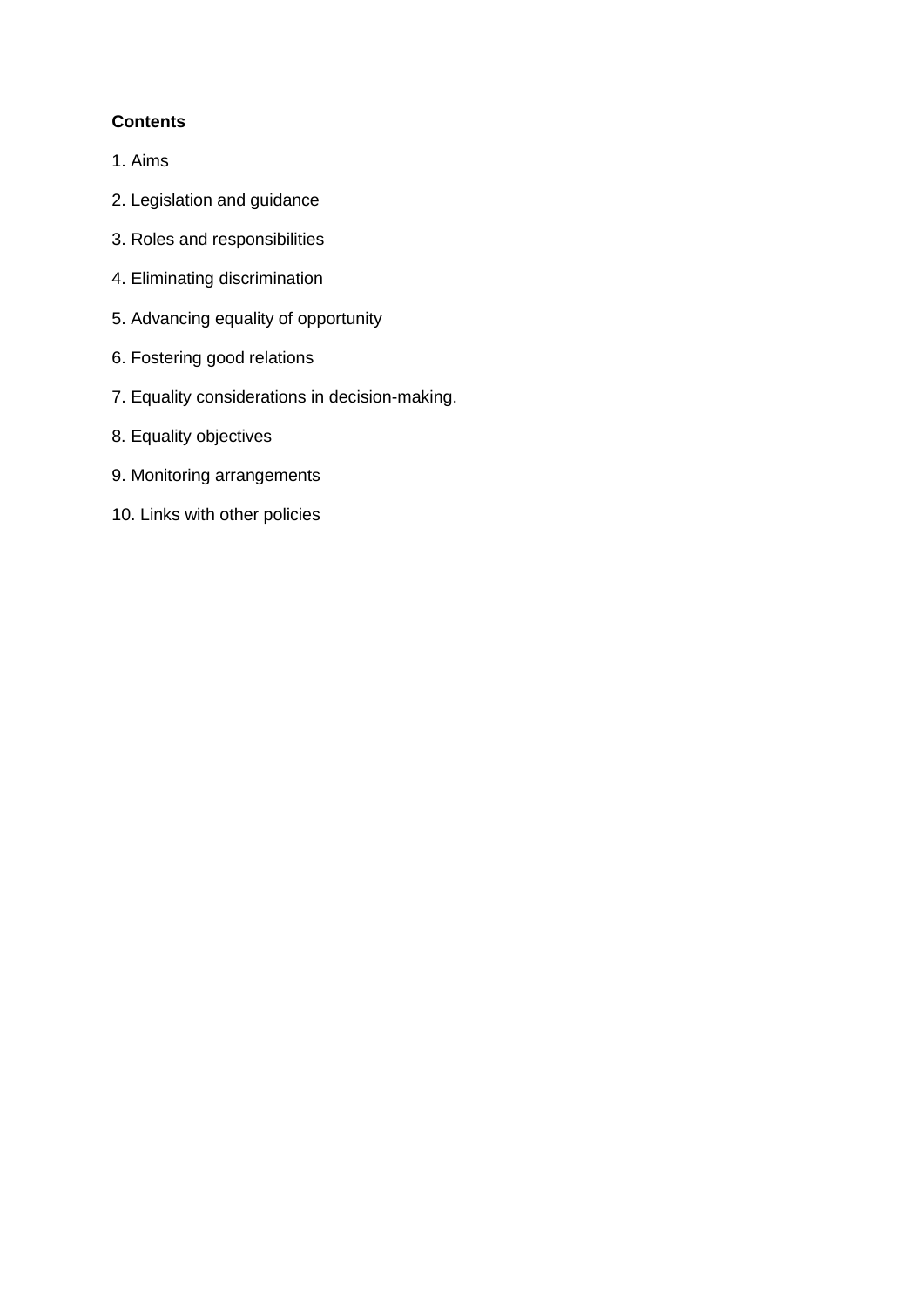### **Contents**

- 1. Aims
- 2. Legislation and guidance
- 3. Roles and responsibilities
- 4. Eliminating discrimination
- 5. Advancing equality of opportunity
- 6. Fostering good relations
- 7. Equality considerations in decision-making.
- 8. Equality objectives
- 9. Monitoring arrangements
- 10. Links with other policies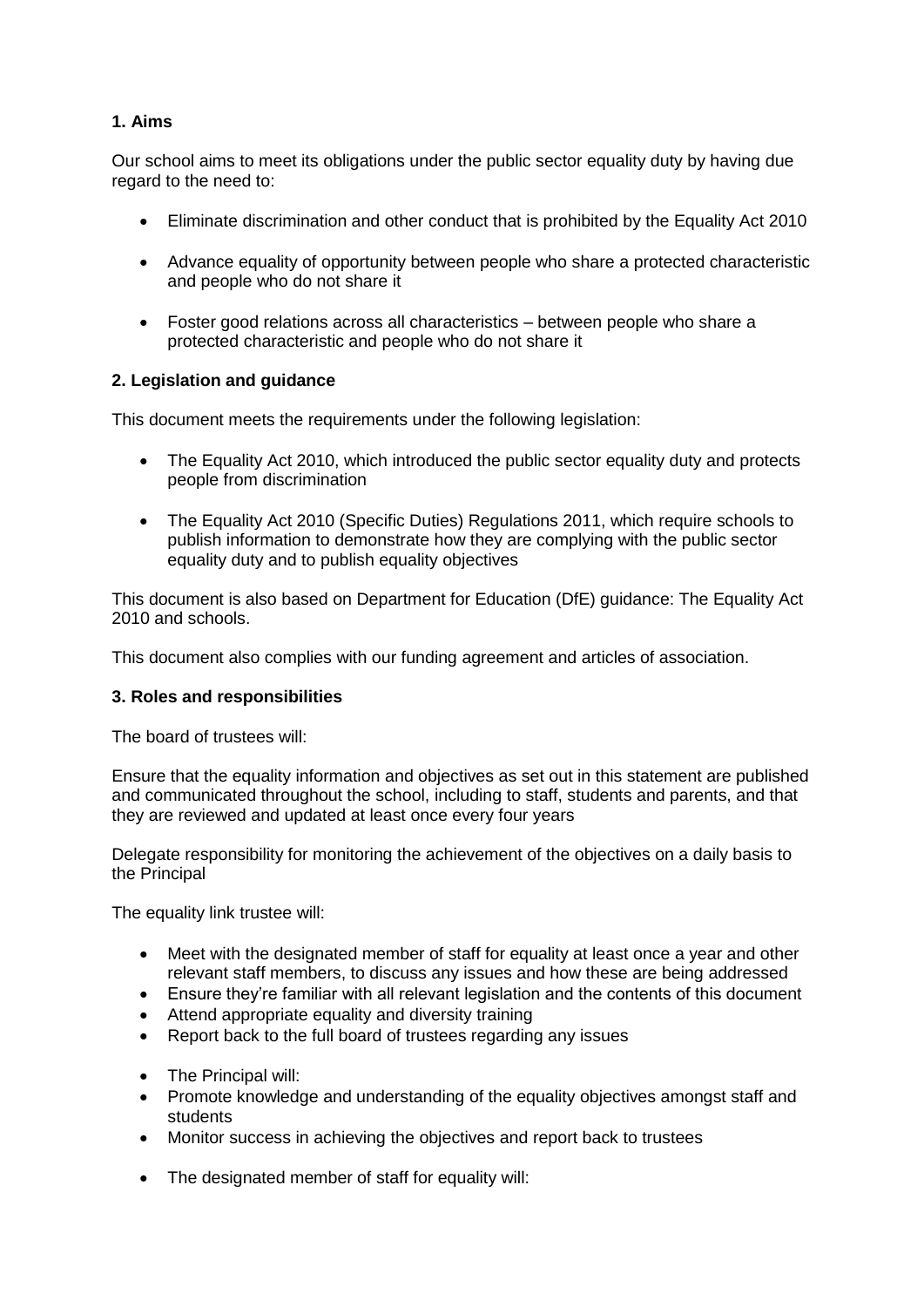#### **1. Aims**

Our school aims to meet its obligations under the public sector equality duty by having due regard to the need to:

- Eliminate discrimination and other conduct that is prohibited by the Equality Act 2010
- Advance equality of opportunity between people who share a protected characteristic and people who do not share it
- Foster good relations across all characteristics between people who share a protected characteristic and people who do not share it

#### **2. Legislation and guidance**

This document meets the requirements under the following legislation:

- The Equality Act 2010, which introduced the public sector equality duty and protects people from discrimination
- The Equality Act 2010 (Specific Duties) Regulations 2011, which require schools to publish information to demonstrate how they are complying with the public sector equality duty and to publish equality objectives

This document is also based on Department for Education (DfE) guidance: The Equality Act 2010 and schools.

This document also complies with our funding agreement and articles of association.

#### **3. Roles and responsibilities**

The board of trustees will:

Ensure that the equality information and objectives as set out in this statement are published and communicated throughout the school, including to staff, students and parents, and that they are reviewed and updated at least once every four years

Delegate responsibility for monitoring the achievement of the objectives on a daily basis to the Principal

The equality link trustee will:

- Meet with the designated member of staff for equality at least once a year and other relevant staff members, to discuss any issues and how these are being addressed
- Ensure they're familiar with all relevant legislation and the contents of this document
- Attend appropriate equality and diversity training
- Report back to the full board of trustees regarding any issues
- The Principal will:
- Promote knowledge and understanding of the equality objectives amongst staff and students
- Monitor success in achieving the objectives and report back to trustees
- The designated member of staff for equality will: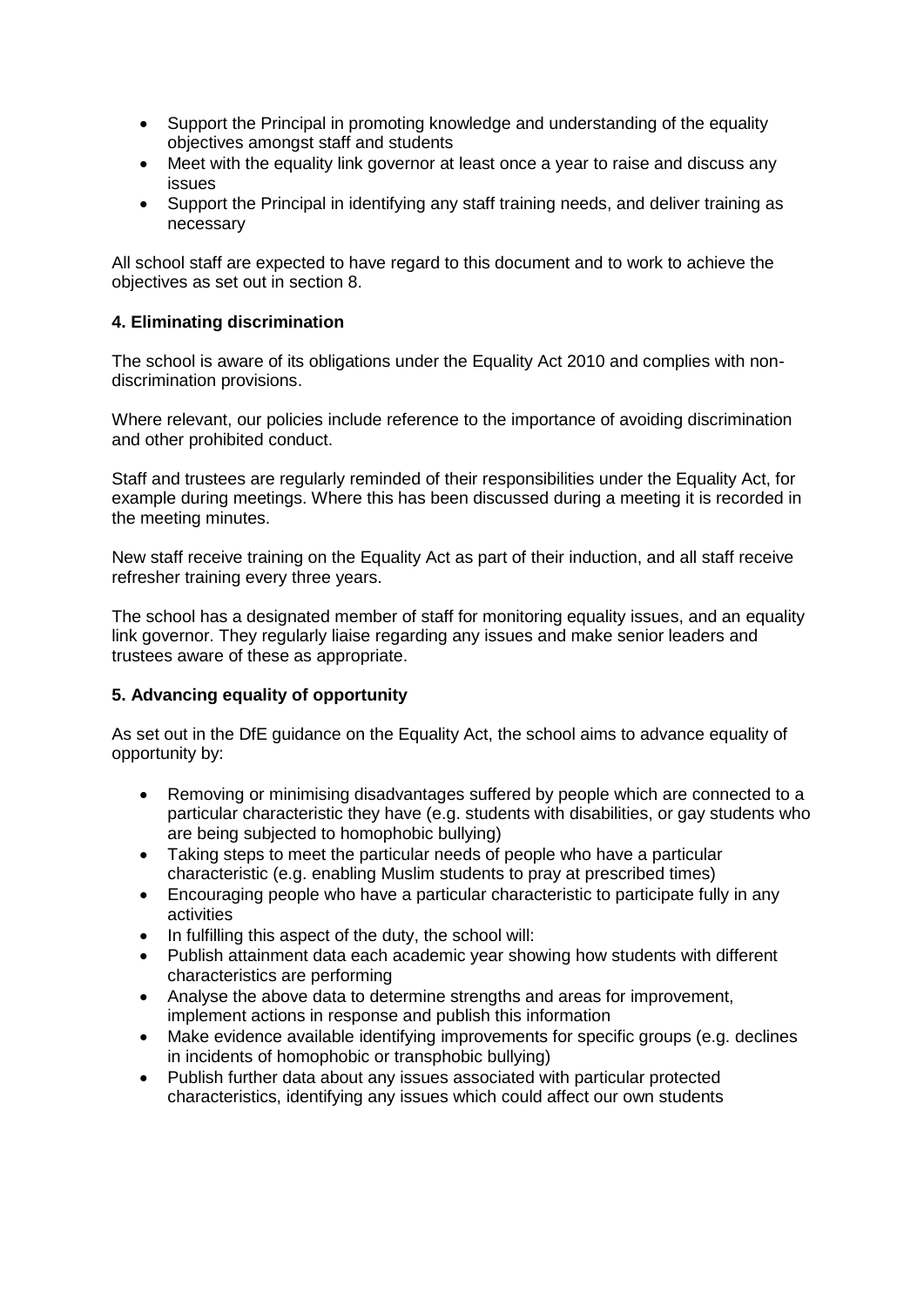- Support the Principal in promoting knowledge and understanding of the equality objectives amongst staff and students
- Meet with the equality link governor at least once a year to raise and discuss any issues
- Support the Principal in identifying any staff training needs, and deliver training as necessary

All school staff are expected to have regard to this document and to work to achieve the objectives as set out in section 8.

#### **4. Eliminating discrimination**

The school is aware of its obligations under the Equality Act 2010 and complies with nondiscrimination provisions.

Where relevant, our policies include reference to the importance of avoiding discrimination and other prohibited conduct.

Staff and trustees are regularly reminded of their responsibilities under the Equality Act, for example during meetings. Where this has been discussed during a meeting it is recorded in the meeting minutes.

New staff receive training on the Equality Act as part of their induction, and all staff receive refresher training every three years.

The school has a designated member of staff for monitoring equality issues, and an equality link governor. They regularly liaise regarding any issues and make senior leaders and trustees aware of these as appropriate.

#### **5. Advancing equality of opportunity**

As set out in the DfE guidance on the Equality Act, the school aims to advance equality of opportunity by:

- Removing or minimising disadvantages suffered by people which are connected to a particular characteristic they have (e.g. students with disabilities, or gay students who are being subjected to homophobic bullying)
- Taking steps to meet the particular needs of people who have a particular characteristic (e.g. enabling Muslim students to pray at prescribed times)
- Encouraging people who have a particular characteristic to participate fully in any activities
- In fulfilling this aspect of the duty, the school will:
- Publish attainment data each academic year showing how students with different characteristics are performing
- Analyse the above data to determine strengths and areas for improvement, implement actions in response and publish this information
- Make evidence available identifying improvements for specific groups (e.g. declines in incidents of homophobic or transphobic bullying)
- Publish further data about any issues associated with particular protected characteristics, identifying any issues which could affect our own students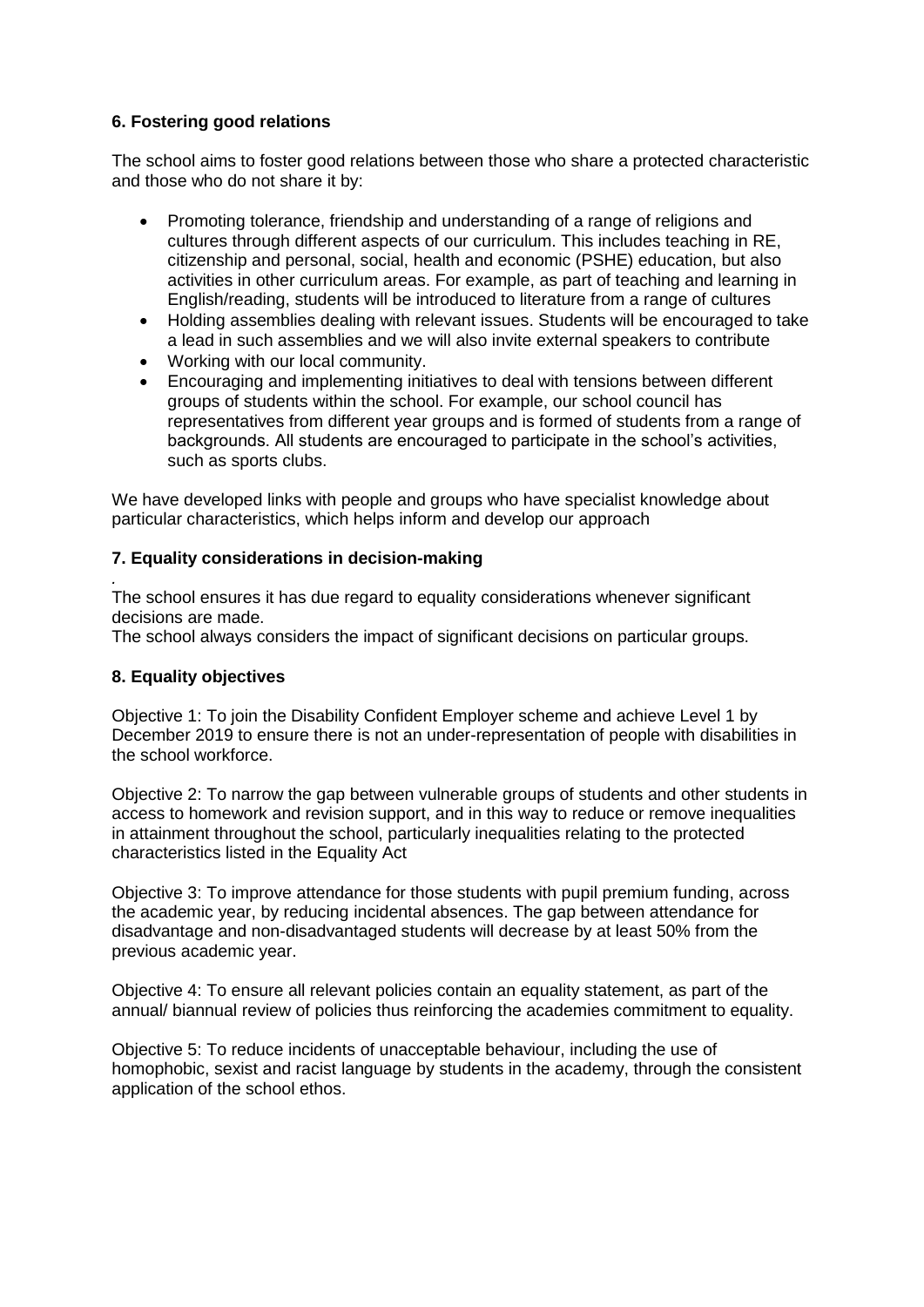#### **6. Fostering good relations**

The school aims to foster good relations between those who share a protected characteristic and those who do not share it by:

- Promoting tolerance, friendship and understanding of a range of religions and cultures through different aspects of our curriculum. This includes teaching in RE, citizenship and personal, social, health and economic (PSHE) education, but also activities in other curriculum areas. For example, as part of teaching and learning in English/reading, students will be introduced to literature from a range of cultures
- Holding assemblies dealing with relevant issues. Students will be encouraged to take a lead in such assemblies and we will also invite external speakers to contribute
- Working with our local community.
- Encouraging and implementing initiatives to deal with tensions between different groups of students within the school. For example, our school council has representatives from different year groups and is formed of students from a range of backgrounds. All students are encouraged to participate in the school's activities, such as sports clubs.

We have developed links with people and groups who have specialist knowledge about particular characteristics, which helps inform and develop our approach

#### **7. Equality considerations in decision-making**

The school ensures it has due regard to equality considerations whenever significant decisions are made.

The school always considers the impact of significant decisions on particular groups.

#### **8. Equality objectives**

*.* 

Objective 1: To join the Disability Confident Employer scheme and achieve Level 1 by December 2019 to ensure there is not an under-representation of people with disabilities in the school workforce.

Objective 2: To narrow the gap between vulnerable groups of students and other students in access to homework and revision support, and in this way to reduce or remove inequalities in attainment throughout the school, particularly inequalities relating to the protected characteristics listed in the Equality Act

Objective 3: To improve attendance for those students with pupil premium funding, across the academic year, by reducing incidental absences. The gap between attendance for disadvantage and non-disadvantaged students will decrease by at least 50% from the previous academic year.

Objective 4: To ensure all relevant policies contain an equality statement, as part of the annual/ biannual review of policies thus reinforcing the academies commitment to equality.

Objective 5: To reduce incidents of unacceptable behaviour, including the use of homophobic, sexist and racist language by students in the academy, through the consistent application of the school ethos.